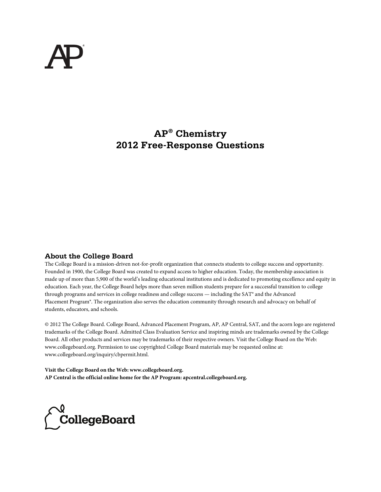# **AP® Chemistry 2012 Free-Response Questions**

# **About the College Board**

The College Board is a mission-driven not-for-profit organization that connects students to college success and opportunity. Founded in 1900, the College Board was created to expand access to higher education. Today, the membership association is made up of more than 5,900 of the world's leading educational institutions and is dedicated to promoting excellence and equity in education. Each year, the College Board helps more than seven million students prepare for a successful transition to college through programs and services in college readiness and college success — including the SAT® and the Advanced Placement Program®. The organization also serves the education community through research and advocacy on behalf of students, educators, and schools.

© 2012 The College Board. College Board, Advanced Placement Program, AP, AP Central, SAT, and the acorn logo are registered trademarks of the College Board. Admitted Class Evaluation Service and inspiring minds are trademarks owned by the College Board. All other products and services may be trademarks of their respective owners. Visit the College Board on the Web: www.collegeboard.org. Permission to use copyrighted College Board materials may be requested online at: www.collegeboard.org/inquiry/cbpermit.html.

**Visit the College Board on the Web: www.collegeboard.org. AP Central is the official online home for the AP Program: apcentral.collegeboard.org.**

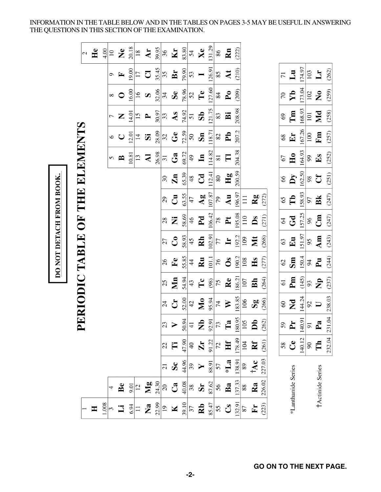INFORMATION IN THE TABLE BELOW AND IN THE TABLES ON PAGES 3-5 MAY BE USEFUL IN ANSWERING THE QUESTIONS IN THIS SECTION OF THE EXAMINATION.

|                           |                        |                  |                | $\overline{\mathsf{P}}$ | ERIODIC TABLE OF THE ELEMENTS |                 |                      |              |                        |                        |                            |                         |                 |                         |                           |                         |                      |
|---------------------------|------------------------|------------------|----------------|-------------------------|-------------------------------|-----------------|----------------------|--------------|------------------------|------------------------|----------------------------|-------------------------|-----------------|-------------------------|---------------------------|-------------------------|----------------------|
|                           |                        |                  |                |                         |                               |                 |                      |              |                        |                        |                            |                         |                 |                         |                           |                         | $\mathcal{L}$        |
| $\blacksquare$            |                        |                  |                |                         |                               |                 |                      |              |                        |                        |                            |                         |                 |                         |                           |                         | He                   |
| 1.008                     |                        |                  |                |                         |                               |                 |                      |              |                        |                        |                            |                         |                 |                         |                           |                         | 4.00                 |
| 3                         | 4                      |                  |                |                         |                               |                 |                      |              |                        |                        |                            | 5                       | $\circ$         | $\overline{ }$          | $\infty$                  | Ç                       | $\overline{10}$      |
| $\ddot{\Xi}$              | Be                     |                  |                |                         |                               |                 |                      |              |                        |                        |                            | B                       | $\cup$          | Z                       | $\bullet$                 | E                       | $\tilde{\mathbf{z}}$ |
| 6.94                      | 0.66                   |                  |                |                         |                               |                 |                      |              |                        |                        |                            | 10.81                   | 12.01           | 14.01                   | 16.00                     | 19.00                   | 20.18                |
|                           | $\overline{c}$         |                  |                |                         |                               |                 |                      |              |                        |                        |                            | $\mathbf{13}$           | $\overline{1}$  | 15                      | $\overline{16}$           | $\overline{17}$         | $\frac{8}{18}$       |
| $\mathbf{z}$              | $\mathbf{M}\mathbf{g}$ |                  |                |                         |                               |                 |                      |              |                        |                        |                            | $\overline{\mathbf{A}}$ | $\ddot{\bm{c}}$ | $\mathbf{r}$            | $\boldsymbol{\omega}$     | $\overline{\mathbb{C}}$ | Ar                   |
| 22.99                     | 24.30                  |                  |                |                         |                               |                 |                      |              |                        |                        |                            | 26.98                   | 28.09           | 30.97                   | 32.06                     | 35.45                   | 39.95                |
| $\overline{19}$           | $\overline{c}$         | $\overline{21}$  | 22             | 23                      | $\overline{24}$               | 25              | 26                   | 27           | 28                     | 29                     | $\boldsymbol{\mathcal{S}}$ | $\overline{31}$         | 32              | 33                      | 34                        | 35                      | 36                   |
| $\mathbf{K}$              | $\mathbf{C}\mathbf{a}$ | $\mathbf{S}$ c   | Ë              |                         | $\mathbf{C}$                  | Mn              | $\mathbf{F}$ e       | $\mathbf{C}$ | Ż                      | $\vec{C}$              | $\mathbf{Zn}$              | Ga                      | $G$ e           | As                      | $S$ e                     | Br                      | Kr                   |
| 39.10                     | 40.08                  | 44.96            | 47.90          | 50.94                   | 52.00                         | 54.94           | 55.85                | 58.93        | 58.69                  | 63.55                  | 65.39                      | 69.72                   | 72.59           | 74.92                   | 78.96                     | 79.90                   | 83.80                |
| 37                        | 38                     | 39               | $\frac{1}{2}$  | $\frac{1}{4}$           | 42                            | 43              | $\frac{4}{3}$        | 45           | $\frac{4}{6}$          | 47                     | 48                         | $\frac{49}{5}$          | $\overline{50}$ | 51                      | 52                        | 53                      | 54                   |
| Rb                        | $\mathbf{S}$ r         |                  | $\mathbf{Z}$ r | Ž                       | $\mathbf{M}$                  | $\mathbf{T}$ c  | $\mathbf{\tilde{z}}$ | Rh           | $_{\rm Pd}$            | $\mathbf{A}\mathbf{g}$ | Cd                         | $\mathbf{u}$            | $\mathbf{S}$    | $\overline{\mathbf{S}}$ | Te                        |                         | Xe                   |
| 85.47                     | 87.62                  | 88.91            | 91.22          | 92.91                   | 95.94                         | (98)            | 101.1                | 102.91       | 106.42                 | 107.87                 | 112.41                     | 114.82                  | 118.71          | 121.75                  | 127.60                    | 126.91                  | 131.29               |
| 55                        | 56                     | 57               | 72             | $73$                    | $74$                          | 75              | 76                   | 77           | $78$                   | 79                     | $\rm 80$                   | $\overline{\bf 8}$      | $82\,$          | 83                      | $\,84$                    | 85                      | $8\,$                |
| $\mathbf{C}^{\mathbf{S}}$ | Ba                     | $\sum_{i=1}^{k}$ | Hf             | E                       | $\geqslant$                   | Re              | $\overline{O}s$      | $\mathbf{H}$ | $\mathbf{r}$           | Au                     | Hg                         | E                       | P <sub>b</sub>  | $\ddot{\mathbf{B}}$     | $\mathbf{P}_{\mathbf{0}}$ | $\overline{\mathbf{A}}$ | Rn                   |
| 132.91                    | 137.33                 | 138.91           | 178.49         | 180.95                  | 183.85                        | 186.21          | 190.2                | 192.2        | 195.08                 | 196.97                 | 200.59                     | 204.38                  | 207.2           | 208.98                  | (209)                     | (210)                   | (222)                |
| 87                        | $88\,$                 | 89               | 104            | 105                     | 106                           | 107             | 108                  | 109          | 110                    | $\Xi$                  |                            |                         |                 |                         |                           |                         |                      |
| $\mathbf{F}$              | Ra                     | $\frac{1}{2}$    | Rf             | ⋝                       | $\mathbf{S}^{\mathbf{g}}$     | Bh              | Hs                   | Mt           | $\mathbf{D}\mathbf{s}$ | Rg                     |                            |                         |                 |                         |                           |                         |                      |
| (223)                     | 226.02                 | 227.03           | (261)          | (262)                   | (266)                         | (264)           | (277)                | (268)        | (271)                  | (272)                  |                            |                         |                 |                         |                           |                         |                      |
|                           |                        |                  |                |                         |                               |                 |                      |              |                        |                        |                            |                         |                 |                         |                           |                         |                      |
|                           |                        |                  | 58             | 59                      | $60\,$                        | $\overline{61}$ | 62                   | 63           | $\mathcal{L}$          | 65                     | 66                         | 67                      | $68\,$          | $69\,$                  | 70                        | $\overline{71}$         |                      |
| *Lanthanide Series        |                        |                  | $C$ e          | È                       | $\overline{\mathbf{z}}$       | Pm              | Sm                   | Eu           | $\vec{c}$              | $\mathbf{T}$           | $\mathbf{D}\mathbf{y}$     | H <sub>0</sub>          | Er              | Tm                      | $\mathbf{Y}$              | $\mathbf{L}$ u          |                      |
|                           |                        |                  | 140.12         | 140.91                  | 144.24                        | (145)           | 150.4                | 151.97       | 157.25                 | 158.93                 | 162.50                     | 164.93                  | 167.26          | 168.93                  | 173.04                    | 174.97                  |                      |
|                           |                        |                  | $90\,$         | $\overline{6}$          | 92                            | 93              | 64                   | 95           | 96                     | 97                     | 98                         | 66                      | 100             | $101\,$                 | 102                       | 103                     |                      |
|                           | †Actinide Series       |                  | T <sub>h</sub> | La                      |                               | $\mathbf{p}$    | $P_{\mathbf{u}}$     | Am           | $\mathbb{S}$           | Bk                     | $\mathbf{C}$               | $\mathbf{E}$            | Fm              | Md                      | $\mathbf{\hat{z}}$        | $\mathbf{r}_{1}$        |                      |
|                           |                        |                  |                | 232.04 231.04           | 238.03                        | (237)           | (244)                | (243)        | (247)                  | (247)                  | (251)                      | (252)                   | (257)           | (258)                   | (259)                     | (262)                   |                      |

DO NOT DETACH FROM BOOK.

 **GO ON TO THE NEXT PAGE.**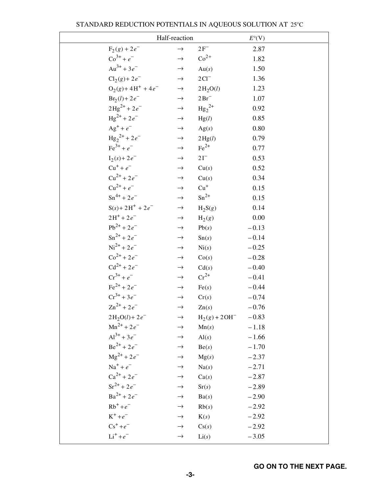|                              | Half-reaction |                      | $E^{\circ}$ (V) |
|------------------------------|---------------|----------------------|-----------------|
| $F_2(g) + 2e^-$              | $\rightarrow$ | $2F^-$               | 2.87            |
| $\text{Co}^{3+} + e^{-}$     | $\rightarrow$ | $\mathrm{Co}^{2+}$   | 1.82            |
| $Au^{3+} + 3e^{-}$           | $\rightarrow$ | Au(s)                | 1.50            |
| $Cl_2(g) + 2e^-$             | $\rightarrow$ | $2\,\mathrm{Cl}^-$   | 1.36            |
| $O_2(g) + 4H^+ + 4e^-$       | $\rightarrow$ | $2H_2O(l)$           | 1.23            |
| $Br_2(l) + 2e^-$             | $\rightarrow$ | $2Br^-$              | 1.07            |
| $2Hg^{2+} + 2e^-$            | $\rightarrow$ | $\text{Hg}_{2}^{2+}$ | 0.92            |
| $\text{Hg}^{2+}$ + 2 $e^-$   | $\rightarrow$ | Hg(l)                | 0.85            |
| $Ag^+ + e^-$                 | $\rightarrow$ | Ag(s)                | 0.80            |
| $\text{Hg}_2^{2+}$ + 2 $e^-$ | $\rightarrow$ | 2Hg(l)               | 0.79            |
| $\text{Fe}^{3+} + e^{-}$     | $\rightarrow$ | $\mathrm{Fe}^{2+}$   | 0.77            |
| $I_2(s) + 2e^{-t}$           | $\rightarrow$ | $2I^-$               | 0.53            |
| $Cu^{+} + e^{-}$             | $\rightarrow$ | Cu(s)                | 0.52            |
| $Cu^{2+} + 2e^{-}$           | $\rightarrow$ | Cu(s)                | 0.34            |
| $Cu^{2+} + e^{-}$            | $\rightarrow$ | $Cu+$                | 0.15            |
| $\text{Sn}^{4+}$ + 2 $e^-$   | $\rightarrow$ | $\mathrm{Sn}^{2+}$   | 0.15            |
| $S(s) + 2H^{+} + 2e^{-}$     | $\rightarrow$ | $H_2S(g)$            | 0.14            |
| $2H^{+} + 2e^{-}$            | $\rightarrow$ | $H_2(g)$             | 0.00            |
| $Pb^{2+} + 2e^{-}$           | $\rightarrow$ | Pb(s)                | $-0.13$         |
| $\text{Sn}^{2+}$ + 2 $e^-$   | $\rightarrow$ | Sn(s)                | $-0.14$         |
| $Ni^{2+} + 2e^{-}$           | $\rightarrow$ | $\mathrm{Ni}(s)$     | $-0.25$         |
| $\cos^{2+} + 2e^{-}$         | $\rightarrow$ | Co(s)                | $-0.28$         |
| $Cd^{2+} + 2e^{-}$           | $\rightarrow$ | Cd(s)                | $-0.40$         |
| $Cr^{3+} + e^{-}$            | $\rightarrow$ | $\mathrm{Cr}^{2+}$   | $-0.41$         |
| $\text{Fe}^{2+}$ + 2 $e^-$   | $\rightarrow$ | Fe(s)                | $-0.44$         |
| $Cr^{3+} + 3e^{-}$           | $\rightarrow$ | Cr(s)                | $-0.74$         |
| $\text{Zn}^{2+}$ + 2 $e^-$   | $\rightarrow$ | Zn(s)                | $-0.76$         |
| $2H_2O(l) + 2e^-$            | $\rightarrow$ | $H_2(g) + 2OH^-$     | $-0.83$         |
| $Mn^{2+} + 2e^-$             | $\rightarrow$ | Mn(s)                | $-1.18$         |
| $Al^{3+} + 3e^{-}$           | $\rightarrow$ | AI(s)                | $-1.66$         |
| $Be^{2+} + 2e^{-}$           | $\rightarrow$ | Be(s)                | $-1.70$         |
| $Mg^{2+} + 2e^{-}$           | $\rightarrow$ | Mg(s)                | $-2.37$         |
| $Na^+ + e^-$                 | $\rightarrow$ | Na(s)                | $-2.71$         |
| $Ca^{2+} + 2e^{-}$           | $\rightarrow$ | Ca(s)                | $-2.87$         |
| $\text{Sr}^{2+}$ + 2 $e^-$   | $\rightarrow$ | Sr(s)                | $-2.89$         |
| $Ba^{2+} + 2e^{-}$           | $\rightarrow$ | Ba(s)                | $-2.90$         |
| $Rb^{+} + e^{-}$             | $\rightarrow$ | Rb(s)                | $-2.92$         |
| $K^+ + e^-$                  | $\rightarrow$ | K(s)                 | $-2.92$         |
| $\text{Cs}^+ + e^-$          | $\rightarrow$ | Cs(s)                | $-2.92$         |
| $Li^+ + e^-$                 | $\rightarrow$ | Li(s)                | $-3.05$         |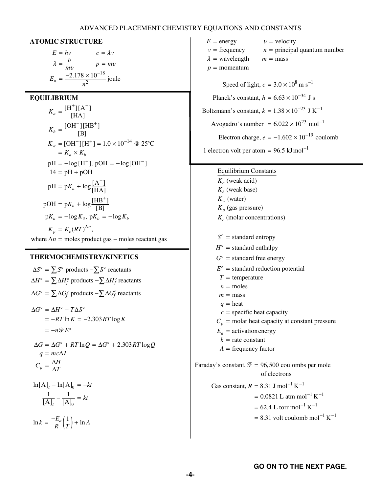#### ADVANCED PLACEMENT CHEMISTRY EQUATIONS AND CONSTANTS

### **ATOMIC STRUCTURE**

$$
E = hv \t c = \lambda v
$$
  

$$
\lambda = \frac{h}{mv} \t p = mv
$$
  

$$
E_n = \frac{-2.178 \times 10^{-18}}{n^2} \text{ joule}
$$

#### **EQUILIBRIUM**

$$
K_a = \frac{[H^+][A^-]}{[HA]}
$$
  
\n
$$
K_b = \frac{[OH^-][HB^+]}{[B]}
$$
  
\n
$$
K_w = [OH^-][H^+] = 1.0 \times 10^{-14} \text{ @ } 25^{\circ}\text{C}
$$
  
\n
$$
= K_a \times K_b
$$
  
\n
$$
pH = -\log[H^+], \text{ pOH} = -\log[OH^-]
$$
  
\n
$$
14 = pH + pOH
$$
  
\n
$$
pH = pK_a + \log \frac{[A^-]}{[HA]}
$$
  
\n
$$
pOH = pK_b + \log \frac{[HB^+]}{[B]}
$$
  
\n
$$
pK_a = -\log K_a, pK_b = -\log K_b
$$
  
\n
$$
K_p = K_c (RT)^{\Delta n},
$$
  
\nwhere  $\Delta n$  = moles product gas – moles reactant gas

# **THERMOCHEMISTRY/KINETICS**

$$
\Delta S^{\circ} = \sum S^{\circ} \text{ products } -\sum S^{\circ} \text{ reactants}
$$
  
\n
$$
\Delta H^{\circ} = \sum \Delta H^{\circ} \text{ products } -\sum \Delta H^{\circ} \text{ reactants}
$$
  
\n
$$
\Delta G^{\circ} = \sum \Delta G^{\circ} \text{ products } -\sum \Delta G^{\circ} \text{ reactants}
$$
  
\n
$$
\Delta G^{\circ} = \Delta H^{\circ} - T \Delta S^{\circ}
$$
  
\n
$$
= -RT \ln K = -2.303 RT \log K
$$
  
\n
$$
= -n \mathcal{F} E^{\circ}
$$
  
\n
$$
\Delta G = \Delta G^{\circ} + RT \ln Q = \Delta G^{\circ} + 2.303 RT \log Q
$$
  
\n
$$
q = mc\Delta T
$$
  
\n
$$
C_p = \frac{\Delta H}{\Delta T}
$$
  
\n
$$
\ln[A]_t - \ln[A]_0 = -kt
$$
  
\n
$$
\frac{1}{[A]_t} - \frac{1}{[A]_0} = kt
$$

 $\ln k = \frac{-E_a}{R} \left(\frac{1}{T}\right) + \ln A$ 

energy  $v =$  velocity  $n =$  principal quantum number  $\lambda$  = wavelength  $m =$  mass  $p =$  momentum  $E =$  energy  $v =$  $v = \text{frequency}$   $n =$  $m =$  mass Speed of light,  $c = 3.0 \times 10^8$  m s<sup>-1</sup> Planck's constant,  $h = 6.63 \times 10^{-34}$  J s Boltzmann's constant,  $k = 1.38 \times 10^{-23}$  J K<sup>-1</sup> Avogadro's number =  $6.022 \times 10^{23}$  mol<sup>-1</sup> Electron charge,  $e = -1.602 \times 10^{-19}$  coulomb 1 electron volt per atom =  $96.5$  kJ mol<sup>-1</sup>

#### Equilibrium Constants

(weak acid) *a K*  $K_b$  (weak base)  $K_w$  (water)  $K_p$  (gas pressure)  $K_c$  (molar concentrations)

 $S^{\circ}$  = standard entropy

 $H^{\circ}$  = standard enthalpy

 $G^{\circ}$  = standard free energy

 $E^{\circ}$  = standard reduction potential

- $T =$  temperature
- $n =$  moles
- $m = \text{mass}$
- $q =$  heat
- $c$  = specific heat capacity

$$
C_p
$$
 = molar heat capacity at constant pressure

- $E_a$  = activation energy
- $k =$  rate constant
- A = frequency factor

Faraday's constant,  $\mathcal{F} = 96,500$  coulombs per mole of electrons

> Gas constant,  $R = 8.31$  J mol<sup>-1</sup> K<sup>-1</sup>  $= 0.0821$  L atm mol<sup>-1</sup> K<sup>-1</sup>

> > $= 62.4$  L torr mol<sup>-1</sup> K<sup>-1</sup>

 $= 8.31$  volt coulomb mol<sup>-1</sup> K<sup>-1</sup>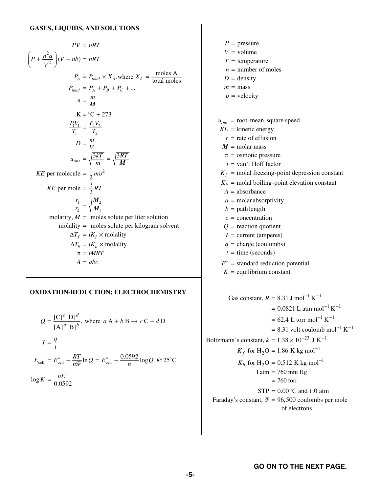#### **GASES, LIQUIDS, AND SOLUTIONS**

$$
PV = nRT
$$
\n
$$
\left(P + \frac{n^2 a}{V^2}\right)(V - nb) = nRT
$$
\n
$$
P_A = P_{total} \times X_A, \text{where } X_A = \frac{\text{moles A}}{\text{total moles}}
$$
\n
$$
P_{total} = P_A + P_B + P_C + \dots
$$
\n
$$
n = \frac{m}{M}
$$
\n
$$
K = {}^{\circ}C + 273
$$
\n
$$
\frac{P_1V_1}{T_1} = \frac{P_2V_2}{T_2}
$$
\n
$$
D = \frac{m}{V}
$$
\n
$$
u_{rms} = \sqrt{\frac{3kT}{m}} = \sqrt{\frac{3RT}{M}}
$$
\n
$$
KE \text{ per molecule } = \frac{1}{2}mv^2
$$
\n
$$
KE \text{ per molecule } = \frac{3}{2}RT
$$
\n
$$
\frac{r_1}{r_2} = \sqrt{\frac{M_2}{M_1}}
$$
\n
$$
\text{molarity}, M = \text{moles solute per liter solution}
$$
\n
$$
\text{molarity} = \text{moles solute per kilogram solvent}
$$
\n
$$
\Delta T_f = iK_f \times \text{molality}
$$
\n
$$
\pi = iMRT
$$
\n
$$
A = abc
$$

#### **OXIDATION-REDUCTION; ELECTROCHEMISTRY**

$$
Q = \frac{[C]^c [D]^d}{[A]^a [B]^b}, \text{ where } aA + bB \to cC + dD
$$
  

$$
I = \frac{q}{t}
$$
  

$$
E_{cell} = E_{cell}^{\circ} - \frac{RT}{n^{\mathcal{F}}} \ln Q = E_{cell}^{\circ} - \frac{0.0592}{n} \log Q \text{ @ } 25^{\circ}C
$$
  

$$
\log K = \frac{nE^{\circ}}{0.0592}
$$

 $P =$  pressure  $V =$  volume  $T =$  temperature  $n =$  number of moles  $D =$  density  $m = \text{mass}$  $v =$  velocity  $u_{rms}$  = root-mean-square speed  $KE =$  kinetic energy  $r$  = rate of effusion  $M = \text{molar mass}$  $\pi$  = osmotic pressure *i* = van't Hoff factor  $K_f$  = molal freezing-point depression constant  $K_b$  = molal boiling-point elevation constant  $A =$ absorbance *a* = molar absorptivity  $b =$  path length  $c =$  concentration Q = reaction quotient  $I =$  current (amperes)  $q =$  charge (coulombs)  $t =$  time (seconds)  $E^{\circ}$  = standard reduction potential  $K =$  equilibrium constant Gas constant,  $R = 8.31$  J mol<sup>-1</sup> K<sup>-1</sup>

 $= 0.0821$  L atm mol<sup>-1</sup> K<sup>-1</sup>  $= 62.4$  L torr mol<sup>-1</sup> K<sup>-1</sup>  $= 8.31$  volt coulomb mol<sup>-1</sup> K<sup>-1</sup> Boltzmann's constant,  $k = 1.38 \times 10^{-23}$  J K<sup>-1</sup>  $K_f$  for  $H_2O = 1.86$  K kg mol<sup>-1</sup>  $K_b$  for  $H_2O = 0.512$  K kg mol<sup>-1</sup>  $1 atm = 760 mm Hg$  $= 760$  torr  $STP = 0.00^{\circ}$ C and 1.0 atm Faraday's constant,  $\mathcal{F} = 96,500$  coulombs per mole of electrons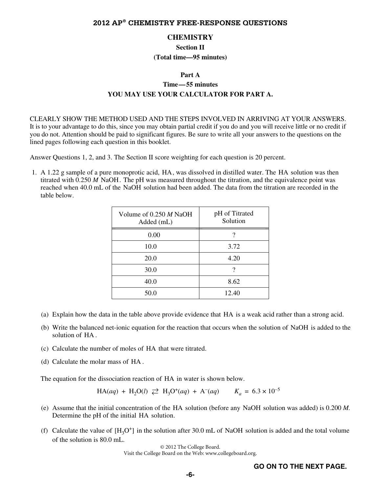#### **CHEMISTRY**

**Section II** 

**(Total time—95 minutes)** 

#### **Part A**

# **Time—55 minutes YOU MAY USE YOUR CALCULATOR FOR PART A.**

CLEARLY SHOW THE METHOD USED AND THE STEPS INVOLVED IN ARRIVING AT YOUR ANSWERS. It is to your advantage to do this, since you may obtain partial credit if you do and you will receive little or no credit if you do not. Attention should be paid to significant figures. Be sure to write all your answers to the questions on the lined pages following each question in this booklet.

Answer Questions 1, 2, and 3. The Section II score weighting for each question is 20 percent.

 1. A 1.22 g sample of a pure monoprotic acid, HA, was dissolved in distilled water. The HA solution was then titrated with 0.250 *M* NaOH. The pH was measured throughout the titration, and the equivalence point was reached when 40.0 mL of the NaOH solution had been added. The data from the titration are recorded in the table below.

| Volume of 0.250 M NaOH<br>Added (mL) | pH of Titrated<br>Solution |
|--------------------------------------|----------------------------|
| 0.00                                 | ?                          |
| 10.0                                 | 3.72                       |
| 20.0                                 | 4.20                       |
| 30.0                                 | ?                          |
| 40.0                                 | 8.62                       |
| 50.0                                 | 12.40                      |

- (a) Explain how the data in the table above provide evidence that HA is a weak acid rather than a strong acid.
- (b) Write the balanced net-ionic equation for the reaction that occurs when the solution of NaOH is added to the solution of HA .
- (c) Calculate the number of moles of HA that were titrated.
- (d) Calculate the molar mass of HA .

The equation for the dissociation reaction of HA in water is shown below.

$$
HA(aq) + H_2O(l) \ge H_3O^+(aq) + A^-(aq) \qquad K_a = 6.3 \times 10^{-5}
$$

- (e) Assume that the initial concentration of the HA solution (before any NaOH solution was added) is 0.200 *M.*  Determine the pH of the initial HA solution.
- (f) Calculate the value of  $[H_3O^+]$  in the solution after 30.0 mL of NaOH solution is added and the total volume of the solution is 80.0 mL.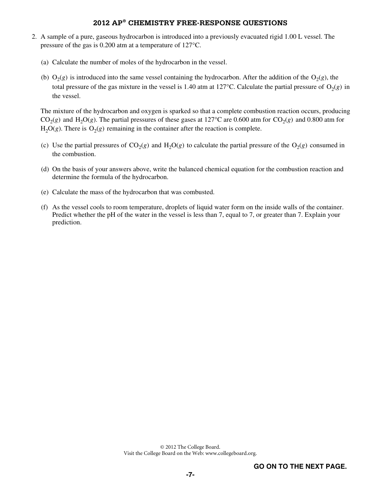- 2. A sample of a pure, gaseous hydrocarbon is introduced into a previously evacuated rigid 1.00 L vessel. The pressure of the gas is 0.200 atm at a temperature of 127°C.
	- (a) Calculate the number of moles of the hydrocarbon in the vessel.
	- (b)  $O_2(g)$  is introduced into the same vessel containing the hydrocarbon. After the addition of the  $O_2(g)$ , the total pressure of the gas mixture in the vessel is 1.40 atm at 127 $^{\circ}$ C. Calculate the partial pressure of O<sub>2</sub>(*g*) in the vessel.

 The mixture of the hydrocarbon and oxygen is sparked so that a complete combustion reaction occurs, producing  $CO<sub>2</sub>(g)$  and H<sub>2</sub>O(*g*). The partial pressures of these gases at 127°C are 0.600 atm for  $CO<sub>2</sub>(g)$  and 0.800 atm for  $H_2O(g)$ . There is  $O_2(g)$  remaining in the container after the reaction is complete.

- (c) Use the partial pressures of  $CO<sub>2</sub>(g)$  and  $H<sub>2</sub>O(g)$  to calculate the partial pressure of the  $O<sub>2</sub>(g)$  consumed in the combustion.
- (d) On the basis of your answers above, write the balanced chemical equation for the combustion reaction and determine the formula of the hydrocarbon.
- (e) Calculate the mass of the hydrocarbon that was combusted.
- (f) As the vessel cools to room temperature, droplets of liquid water form on the inside walls of the container. Predict whether the pH of the water in the vessel is less than 7, equal to 7, or greater than 7. Explain your prediction.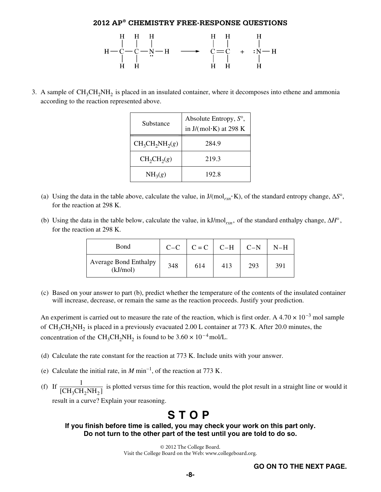

3. A sample of  $CH_3CH_2NH_2$  is placed in an insulated container, where it decomposes into ethene and ammonia according to the reaction represented above.

| Substance           | Absolute Entropy, $S^{\circ}$ ,<br>in $J/(mol·K)$ at 298 K |
|---------------------|------------------------------------------------------------|
| $CH_3CH_2NH_2(g)$   | 284.9                                                      |
| $CH_2CH_2(g)$       | 219.3                                                      |
| NH <sub>3</sub> (g) | 192.8                                                      |

- (a) Using the data in the table above, calculate the value, in J/(mol*rxn*⋅K), of the standard entropy change, Δ*S*°, for the reaction at 298 K.
- (b) Using the data in the table below, calculate the value, in kJ/mol*rxn* , of the standard enthalpy change, Δ*H*°, for the reaction at 298 K.

| Bond                                     |     | $C-C$ $C=C$ $C-H$ $C-N$ |     |     | $N-H$ |
|------------------------------------------|-----|-------------------------|-----|-----|-------|
| <b>Average Bond Enthalpy</b><br>(kJ/mol) | 348 | 614                     | 413 | 293 | 391   |

(c) Based on your answer to part (b), predict whether the temperature of the contents of the insulated container will increase, decrease, or remain the same as the reaction proceeds. Justify your prediction.

An experiment is carried out to measure the rate of the reaction, which is first order. A 4.70  $\times$  10<sup>-3</sup> mol sample of CH<sub>3</sub>CH<sub>2</sub>NH<sub>2</sub> is placed in a previously evacuated 2.00 L container at 773 K. After 20.0 minutes, the concentration of the CH<sub>3</sub>CH<sub>2</sub>NH<sub>2</sub> is found to be  $3.60 \times 10^{-4}$  mol/L.

- (d) Calculate the rate constant for the reaction at 773 K. Include units with your answer.
- (e) Calculate the initial rate, in  $M$  min<sup>-1</sup>, of the reaction at 773 K.
- (f) If  $3C_{112}N_{112}$  $\frac{1}{[CH_3CH_2NH_2]}$  is plotted versus time for this reaction, would the plot result in a straight line or would it result in a curve? Explain your reasoning.

# **STOP**

**If you finish before time is called, you may check your work on this part only. Do not turn to the other part of the test until you are told to do so.**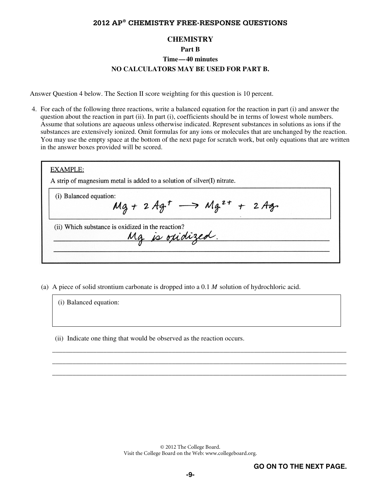#### **CHEMISTRY**

**Part B** 

**Time—40 minutes** 

# **NO CALCULATORS MAY BE USED FOR PART B.**

Answer Question 4 below. The Section II score weighting for this question is 10 percent.

 4. For each of the following three reactions, write a balanced equation for the reaction in part (i) and answer the question about the reaction in part (ii). In part (i), coefficients should be in terms of lowest whole numbers. Assume that solutions are aqueous unless otherwise indicated. Represent substances in solutions as ions if the substances are extensively ionized. Omit formulas for any ions or molecules that are unchanged by the reaction. You may use the empty space at the bottom of the next page for scratch work, but only equations that are written in the answer boxes provided will be scored.

| EXAMPLE:<br>A strip of magnesium metal is added to a solution of silver(I) nitrate. |
|-------------------------------------------------------------------------------------|
| (i) Balanced equation:<br>$Mg + 2Ag^+ \longrightarrow Mg^{2+} + 2Ag$                |
| (ii) Which substance is oxidized in the reaction?<br>Mg is oxidized.                |

(a) A piece of solid strontium carbonate is dropped into a 0.1 *M* solution of hydrochloric acid.

(i) Balanced equation:

(ii) Indicate one thing that would be observed as the reaction occurs.

\_\_\_\_\_\_\_\_\_\_\_\_\_\_\_\_\_\_\_\_\_\_\_\_\_\_\_\_\_\_\_\_\_\_\_\_\_\_\_\_\_\_\_\_\_\_\_\_\_\_\_\_\_\_\_\_\_\_\_\_\_\_\_\_\_\_\_\_\_\_\_\_\_\_\_\_\_\_\_\_\_\_\_\_\_\_ \_\_\_\_\_\_\_\_\_\_\_\_\_\_\_\_\_\_\_\_\_\_\_\_\_\_\_\_\_\_\_\_\_\_\_\_\_\_\_\_\_\_\_\_\_\_\_\_\_\_\_\_\_\_\_\_\_\_\_\_\_\_\_\_\_\_\_\_\_\_\_\_\_\_\_\_\_\_\_\_\_\_\_\_\_\_ \_\_\_\_\_\_\_\_\_\_\_\_\_\_\_\_\_\_\_\_\_\_\_\_\_\_\_\_\_\_\_\_\_\_\_\_\_\_\_\_\_\_\_\_\_\_\_\_\_\_\_\_\_\_\_\_\_\_\_\_\_\_\_\_\_\_\_\_\_\_\_\_\_\_\_\_\_\_\_\_\_\_\_\_\_\_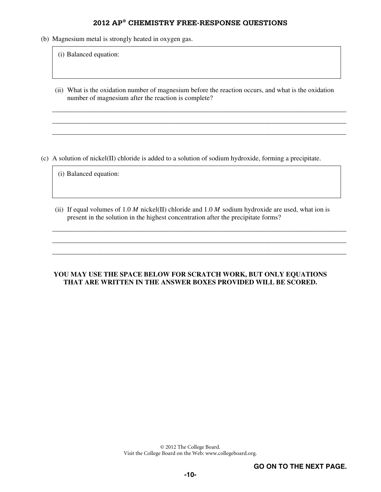(b) Magnesium metal is strongly heated in oxygen gas.

(i) Balanced equation:

 (ii) What is the oxidation number of magnesium before the reaction occurs, and what is the oxidation number of magnesium after the reaction is complete?

\_\_\_\_\_\_\_\_\_\_\_\_\_\_\_\_\_\_\_\_\_\_\_\_\_\_\_\_\_\_\_\_\_\_\_\_\_\_\_\_\_\_\_\_\_\_\_\_\_\_\_\_\_\_\_\_\_\_\_\_\_\_\_\_\_\_\_\_\_\_\_\_\_\_\_\_\_\_\_\_\_\_\_\_\_\_ \_\_\_\_\_\_\_\_\_\_\_\_\_\_\_\_\_\_\_\_\_\_\_\_\_\_\_\_\_\_\_\_\_\_\_\_\_\_\_\_\_\_\_\_\_\_\_\_\_\_\_\_\_\_\_\_\_\_\_\_\_\_\_\_\_\_\_\_\_\_\_\_\_\_\_\_\_\_\_\_\_\_\_\_\_\_ \_\_\_\_\_\_\_\_\_\_\_\_\_\_\_\_\_\_\_\_\_\_\_\_\_\_\_\_\_\_\_\_\_\_\_\_\_\_\_\_\_\_\_\_\_\_\_\_\_\_\_\_\_\_\_\_\_\_\_\_\_\_\_\_\_\_\_\_\_\_\_\_\_\_\_\_\_\_\_\_\_\_\_\_\_\_

(c) A solution of nickel(II) chloride is added to a solution of sodium hydroxide, forming a precipitate.

(i) Balanced equation:

 (ii) If equal volumes of 1.0 *M* nickel(II) chloride and 1.0 *M* sodium hydroxide are used, what ion is present in the solution in the highest concentration after the precipitate forms?

\_\_\_\_\_\_\_\_\_\_\_\_\_\_\_\_\_\_\_\_\_\_\_\_\_\_\_\_\_\_\_\_\_\_\_\_\_\_\_\_\_\_\_\_\_\_\_\_\_\_\_\_\_\_\_\_\_\_\_\_\_\_\_\_\_\_\_\_\_\_\_\_\_\_\_\_\_\_\_\_\_\_\_\_\_\_ \_\_\_\_\_\_\_\_\_\_\_\_\_\_\_\_\_\_\_\_\_\_\_\_\_\_\_\_\_\_\_\_\_\_\_\_\_\_\_\_\_\_\_\_\_\_\_\_\_\_\_\_\_\_\_\_\_\_\_\_\_\_\_\_\_\_\_\_\_\_\_\_\_\_\_\_\_\_\_\_\_\_\_\_\_\_ \_\_\_\_\_\_\_\_\_\_\_\_\_\_\_\_\_\_\_\_\_\_\_\_\_\_\_\_\_\_\_\_\_\_\_\_\_\_\_\_\_\_\_\_\_\_\_\_\_\_\_\_\_\_\_\_\_\_\_\_\_\_\_\_\_\_\_\_\_\_\_\_\_\_\_\_\_\_\_\_\_\_\_\_\_\_

## **YOU MAY USE THE SPACE BELOW FOR SCRATCH WORK, BUT ONLY EQUATIONS THAT ARE WRITTEN IN THE ANSWER BOXES PROVIDED WILL BE SCORED.**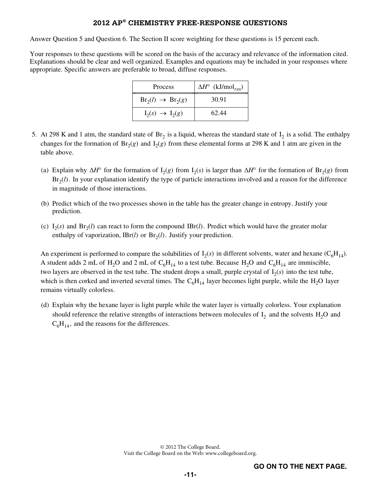Answer Question 5 and Question 6. The Section II score weighting for these questions is 15 percent each.

Your responses to these questions will be scored on the basis of the accuracy and relevance of the information cited. Explanations should be clear and well organized. Examples and equations may be included in your responses where appropriate. Specific answers are preferable to broad, diffuse responses.

| <b>Process</b>                | $\Delta H^{\circ}$ (kJ/mol <sub>rxn</sub> ) |
|-------------------------------|---------------------------------------------|
| $Br_2(l) \rightarrow Br_2(g)$ | 30.91                                       |
| $I_2(s) \rightarrow I_2(g)$   | 62.44                                       |

- 5. At 298 K and 1 atm, the standard state of  $Br_2$  is a liquid, whereas the standard state of  $I_2$  is a solid. The enthalpy changes for the formation of  $Br<sub>2</sub>(g)$  and  $I<sub>2</sub>(g)$  from these elemental forms at 298 K and 1 atm are given in the table above.
	- (a) Explain why  $\Delta H^{\circ}$  for the formation of  $I_2(g)$  from  $I_2(s)$  is larger than  $\Delta H^{\circ}$  for the formation of Br<sub>2</sub>(*g*) from  $Br<sub>2</sub>(l)$ . In your explanation identify the type of particle interactions involved and a reason for the difference in magnitude of those interactions.
	- (b) Predict which of the two processes shown in the table has the greater change in entropy. Justify your prediction.
	- (c)  $I_2(s)$  and  $Br_2(l)$  can react to form the compound  $IBr(l)$ . Predict which would have the greater molar enthalpy of vaporization,  $IBr(l)$  or  $Br_2(l)$ . Justify your prediction.

An experiment is performed to compare the solubilities of  $I_2(s)$  in different solvents, water and hexane  $(C_6H_{14})$ . A student adds 2 mL of H<sub>2</sub>O and 2 mL of C<sub>6</sub>H<sub>14</sub> to a test tube. Because H<sub>2</sub>O and C<sub>6</sub>H<sub>14</sub> are immiscible, two layers are observed in the test tube. The student drops a small, purple crystal of  $I_2(s)$  into the test tube, which is then corked and inverted several times. The  $C_6H_{14}$  layer becomes light purple, while the H<sub>2</sub>O layer remains virtually colorless.

(d) Explain why the hexane layer is light purple while the water layer is virtually colorless. Your explanation should reference the relative strengths of interactions between molecules of  $I_2$  and the solvents  $H_2O$  and  $C_6H_{14}$ , and the reasons for the differences.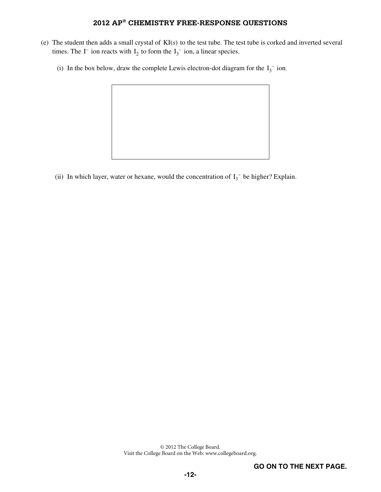- (e) The student then adds a small crystal of KI(*s*) to the test tube. The test tube is corked and inverted several times. The  $I^-$  ion reacts with  $I_2$  to form the  $I_3^-$  ion, a linear species.
	- (i) In the box below, draw the complete Lewis electron-dot diagram for the  $I_3^-$  ion.



(ii) In which layer, water or hexane, would the concentration of  $I_3^-$  be higher? Explain.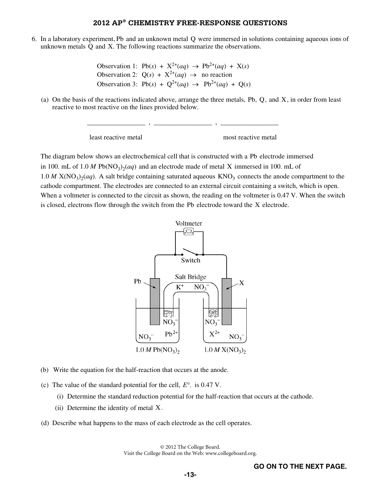6. In a laboratory experiment, Pb and an unknown metal Q were immersed in solutions containing aqueous ions of unknown metals Q and X. The following reactions summarize the observations.

> Observation 1:  $Pb(s) + X^{2+}(aq) \rightarrow Pb^{2+}(aq) + X(s)$ Observation 2:  $Q(s) + X^{2+}(aq) \rightarrow$  no reaction Observation 3:  $Pb(s) + Q^{2+}(aq) \rightarrow Pb^{2+}(aq) + Q(s)$

\_\_\_\_\_\_\_\_\_\_\_\_\_\_\_\_\_ , \_\_\_\_\_\_\_\_\_\_\_\_\_\_\_\_\_ , \_\_\_\_\_\_\_\_\_\_\_\_\_\_\_\_\_

(a) On the basis of the reactions indicated above, arrange the three metals, Pb, Q, and X, in order from least reactive to most reactive on the lines provided below.

least reactive metal most reactive metal

 The diagram below shows an electrochemical cell that is constructed with a Pb electrode immersed in 100. mL of 1.0 *M* Pb( $NO<sub>3</sub>$ )<sub>2</sub>(*aq*) and an electrode made of metal X immersed in 100. mL of 1.0 *M*  $X(NO<sub>3</sub>)<sub>2</sub>(aq)$ . A salt bridge containing saturated aqueous  $KNO<sub>3</sub>$  connects the anode compartment to the cathode compartment. The electrodes are connected to an external circuit containing a switch, which is open. When a voltmeter is connected to the circuit as shown, the reading on the voltmeter is 0.47 V. When the switch is closed, electrons flow through the switch from the Pb electrode toward the X electrode.



- (b) Write the equation for the half-reaction that occurs at the anode.
- (c) The value of the standard potential for the cell, *E*°, is 0.47 V.
	- (i) Determine the standard reduction potential for the half-reaction that occurs at the cathode.
	- (ii) Determine the identity of metal X.
- (d) Describe what happens to the mass of each electrode as the cell operates.